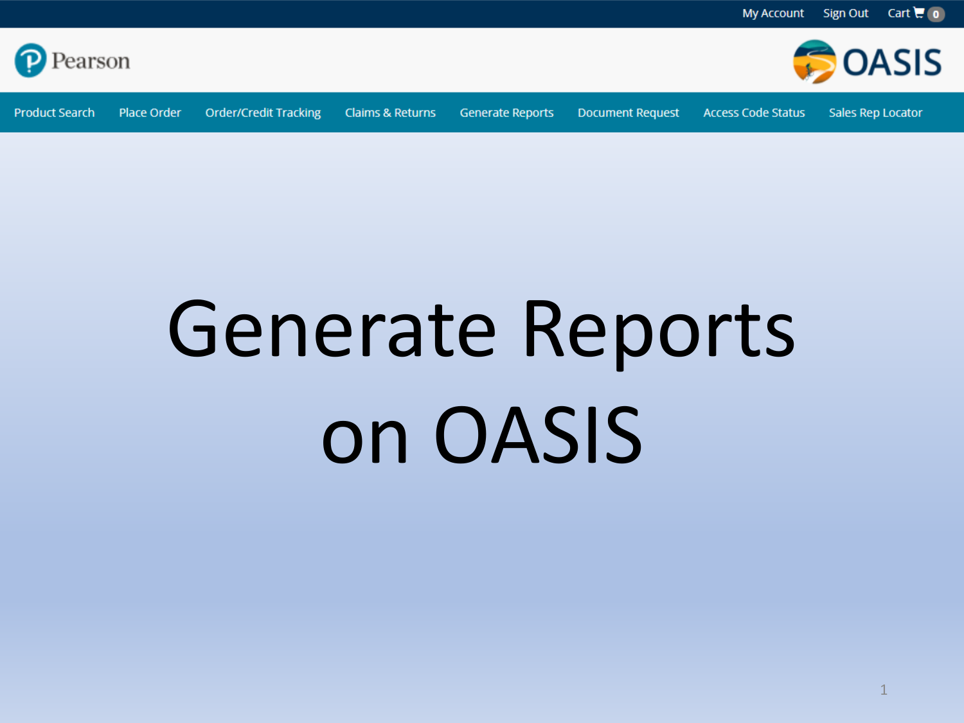

**Product Search** Place Order

**Order/Credit Tracking Claims & Returns** 

**Generate Reports** 

**Document Request** 

**Access Code Status** 

Sales Rep Locator

**BOASIS** 

# **Generate Reports** on OASIS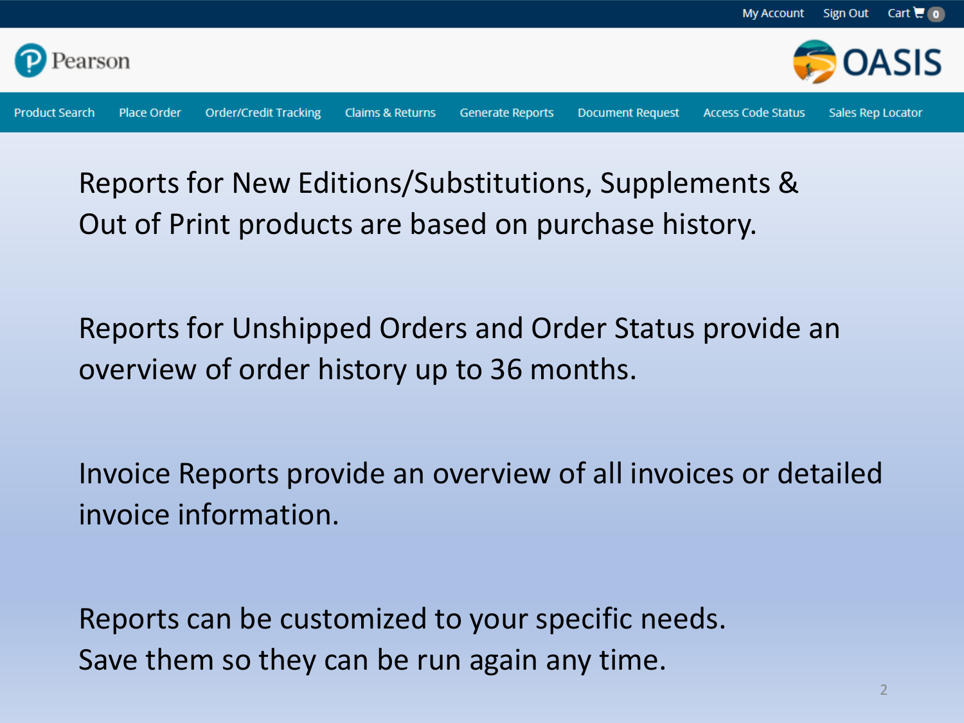

Reports for New Editions/Substitutions, Supplements & Out of Print products are based on purchase history.

Reports for Unshipped Orders and Order Status provide an overview of order history up to 36 months.

Invoice Reports provide an overview of all invoices or detailed invoice information.

Reports can be customized to your specific needs. Save them so they can be run again any time.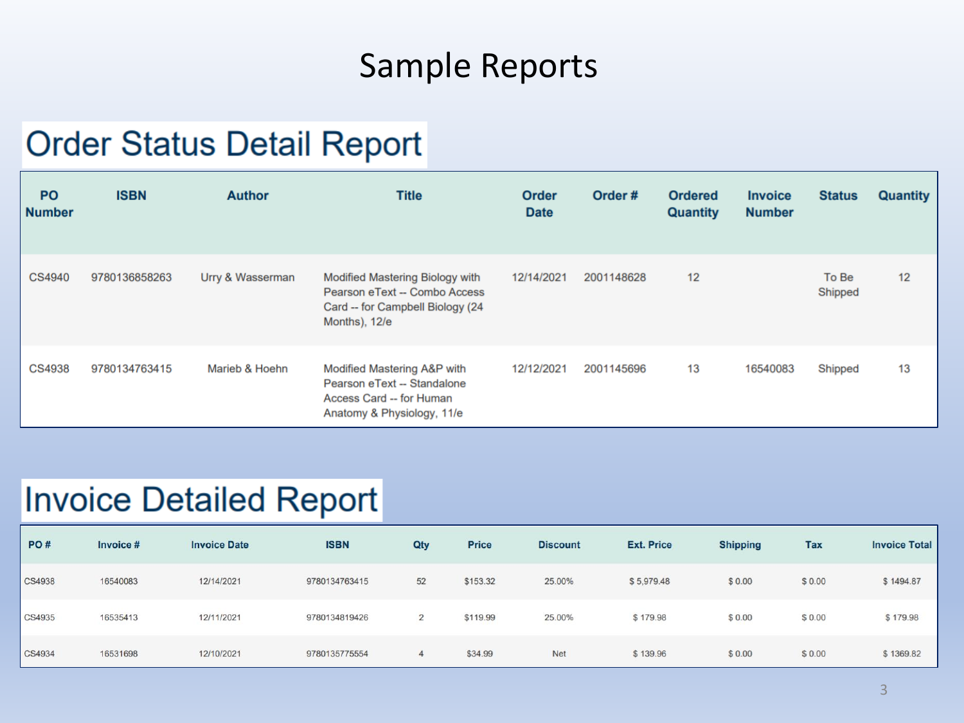## Sample Reports

#### **Order Status Detail Report**

| <b>PO</b><br><b>Number</b> | <b>ISBN</b>   | <b>Author</b>    | <b>Title</b>                                                                                                                 | <b>Order</b><br><b>Date</b> | Order#     | <b>Ordered</b><br><b>Quantity</b> | <b>Invoice</b><br><b>Number</b> | <b>Status</b>    | <b>Quantity</b> |
|----------------------------|---------------|------------------|------------------------------------------------------------------------------------------------------------------------------|-----------------------------|------------|-----------------------------------|---------------------------------|------------------|-----------------|
| CS4940                     | 9780136858263 | Urry & Wasserman | <b>Modified Mastering Biology with</b><br>Pearson eText -- Combo Access<br>Card -- for Campbell Biology (24<br>Months), 12/e | 12/14/2021                  | 2001148628 | 12                                |                                 | To Be<br>Shipped | 12              |
| <b>CS4938</b>              | 9780134763415 | Marieb & Hoehn   | Modified Mastering A&P with<br>Pearson eText -- Standalone<br>Access Card -- for Human<br>Anatomy & Physiology, 11/e         | 12/12/2021                  | 2001145696 | 13                                | 16540083                        | Shipped          | 13              |

#### **Invoice Detailed Report**

| PO#           | Invoice # | <b>Invoice Date</b> | <b>ISBN</b>   | Qty            | Price    | <b>Discount</b> | <b>Ext. Price</b> | <b>Shipping</b> | <b>Tax</b> | <b>Invoice Total</b> |
|---------------|-----------|---------------------|---------------|----------------|----------|-----------------|-------------------|-----------------|------------|----------------------|
| <b>CS4938</b> | 16540083  | 12/14/2021          | 9780134763415 | 52             | \$153.32 | 25.00%          | \$5,979.48        | \$0.00          | \$0.00     | \$1494.87            |
| CS4935        | 16535413  | 12/11/2021          | 9780134819426 | $\overline{2}$ | \$119.99 | 25.00%          | \$179.98          | \$0.00          | \$0.00     | \$179.98             |
| CS4934        | 16531698  | 12/10/2021          | 9780135775554 | 4              | \$34.99  | <b>Net</b>      | \$139.96          | \$0.00          | \$0.00     | \$1369.82            |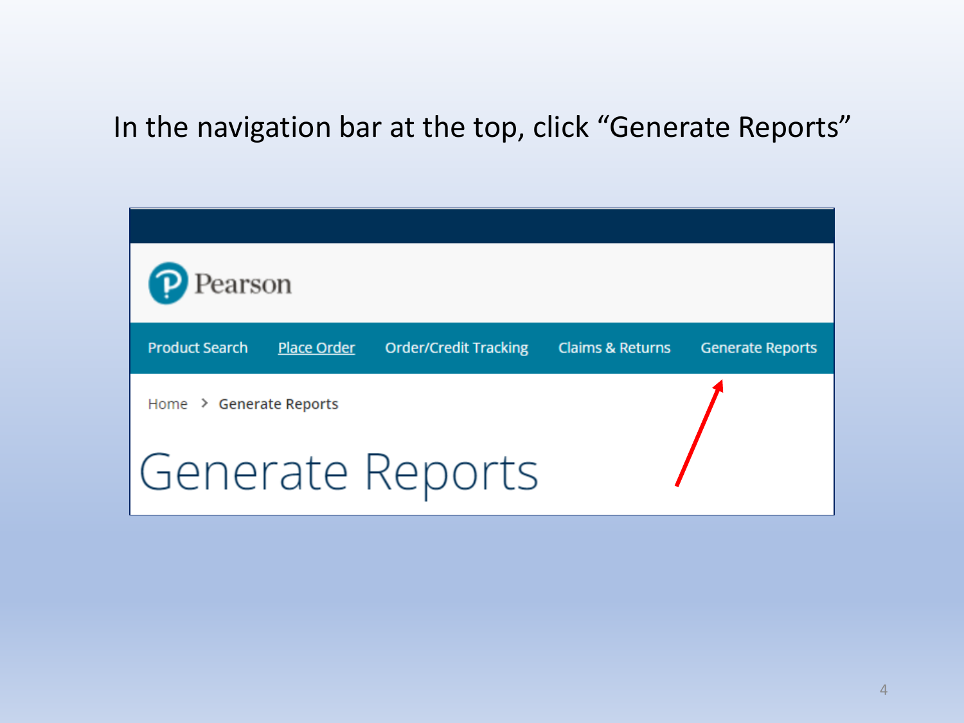#### In the navigation bar at the top, click "Generate Reports"

| Pearson                 |                    |                              |                             |                         |  |  |  |  |
|-------------------------|--------------------|------------------------------|-----------------------------|-------------------------|--|--|--|--|
| <b>Product Search</b>   | <b>Place Order</b> | <b>Order/Credit Tracking</b> | <b>Claims &amp; Returns</b> | <b>Generate Reports</b> |  |  |  |  |
| Home > Generate Reports |                    |                              |                             |                         |  |  |  |  |
|                         |                    | Generate Reports             |                             |                         |  |  |  |  |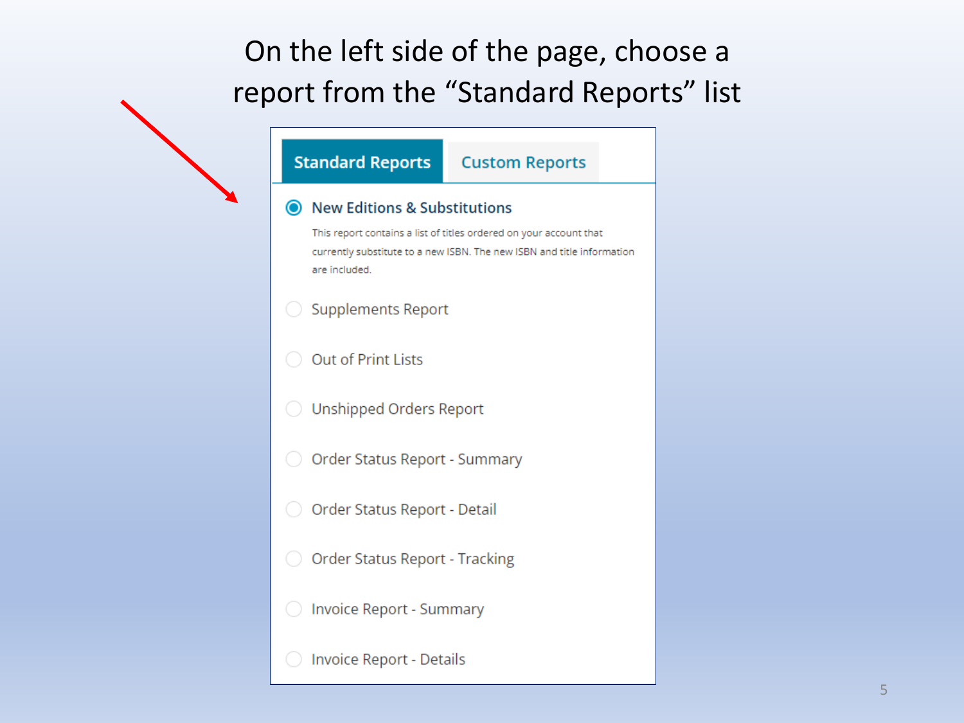### On the left side of the page, choose a report from the "Standard Reports" list

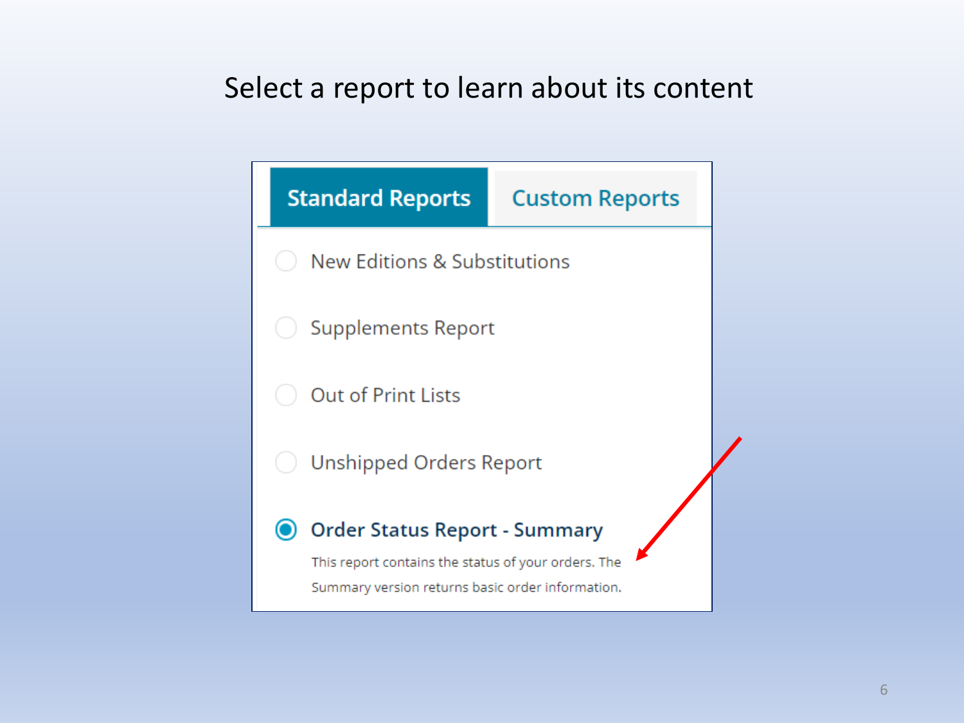#### Select a report to learn about its content

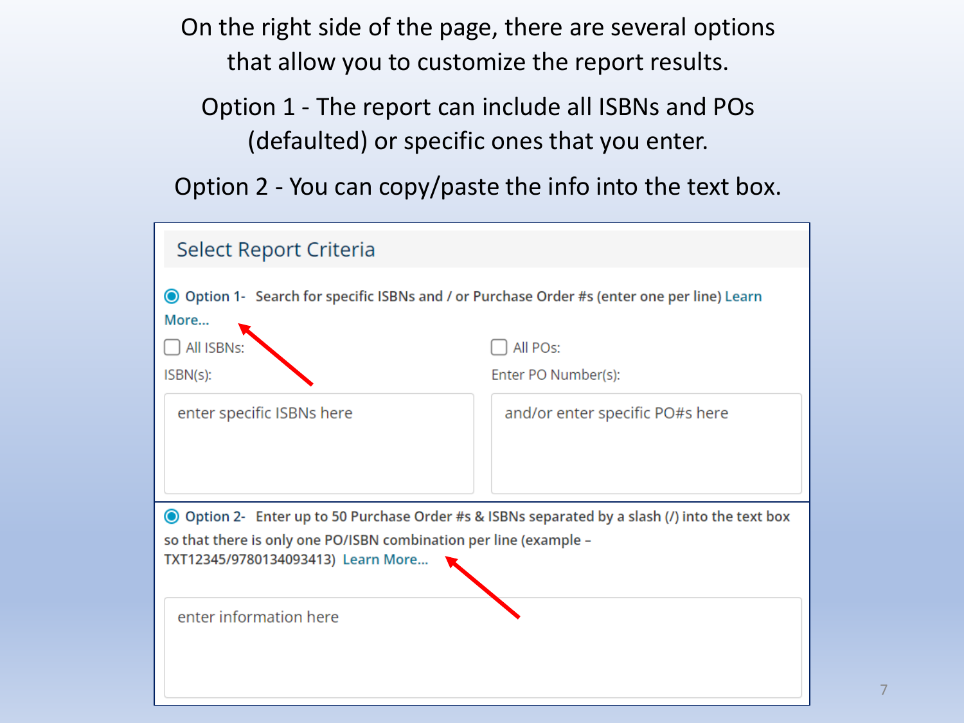On the right side of the page, there are several options that allow you to customize the report results.

Option 1 - The report can include all ISBNs and POs (defaulted) or specific ones that you enter.

Option 2 - You can copy/paste the info into the text box.

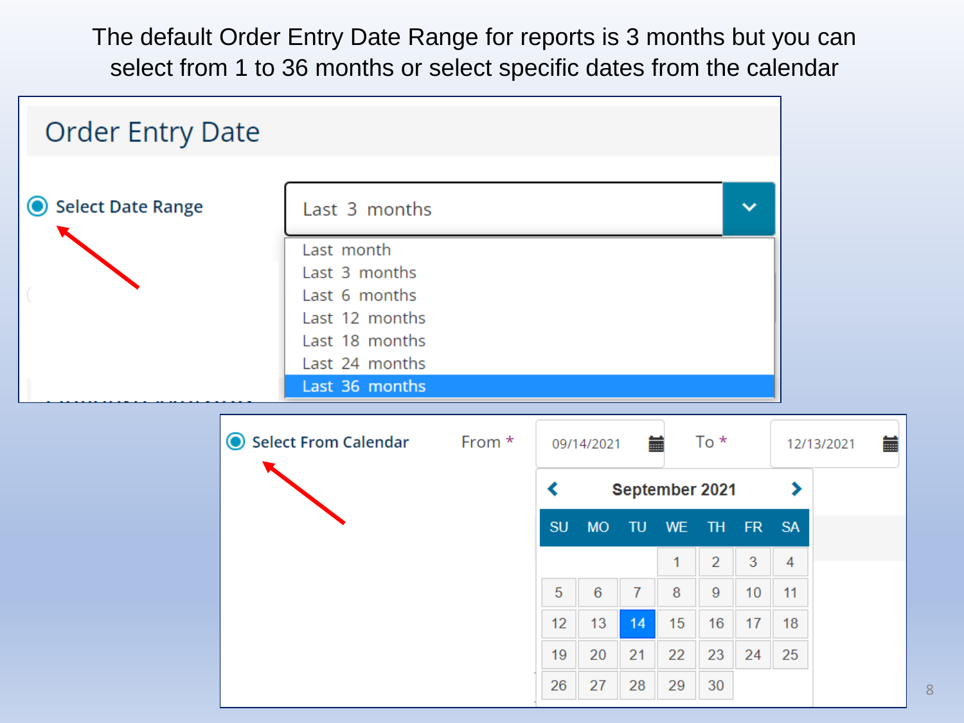The default Order Entry Date Range for reports is 3 months but you can select from 1 to 36 months or select specific dates from the calendar



8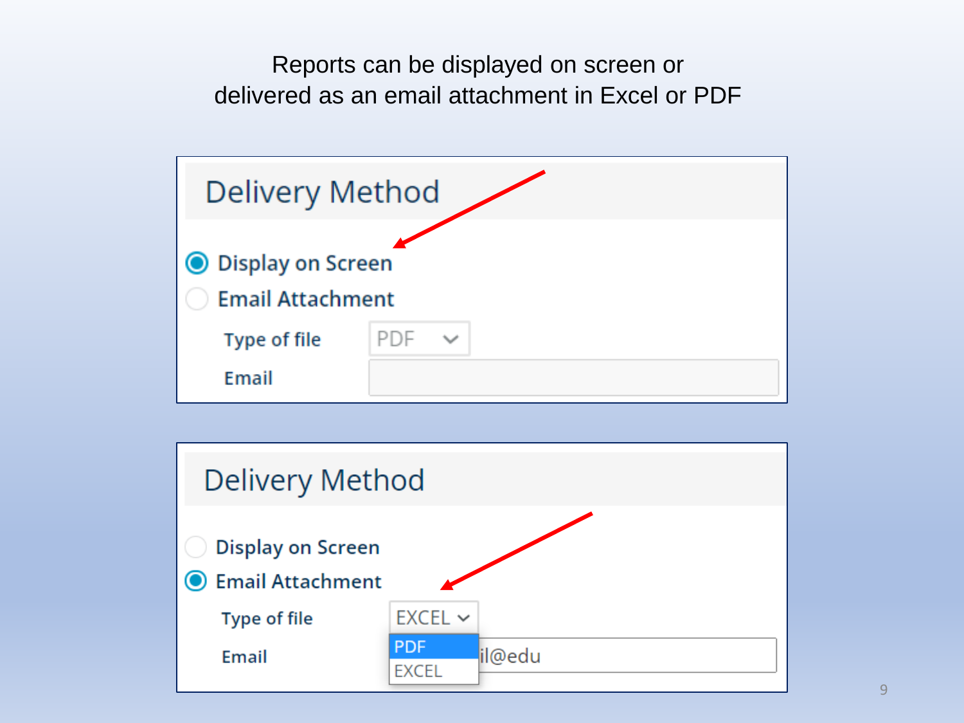Reports can be displayed on screen or delivered as an email attachment in Excel or PDF



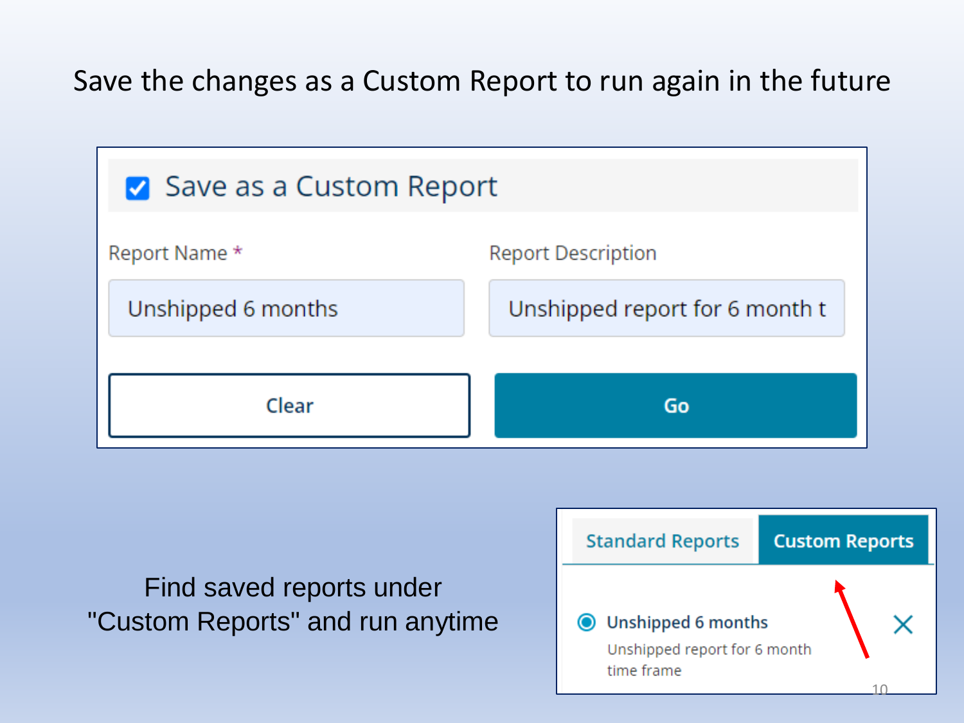Save the changes as a Custom Report to run again in the future



Find saved reports under "Custom Reports" and run anytime

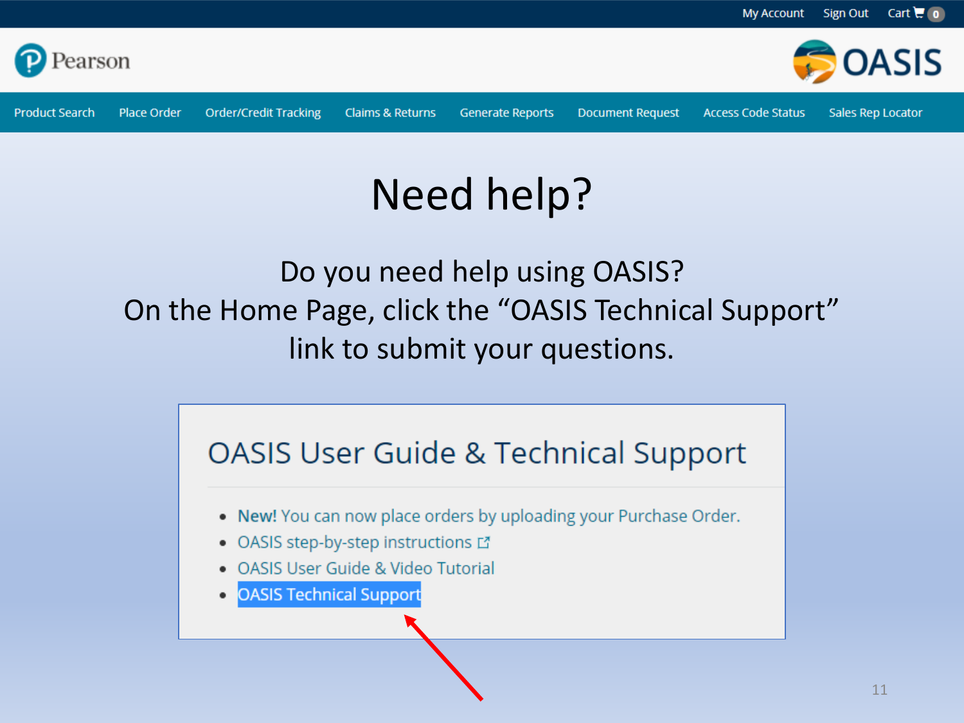

**Product Search** 

**Claims & Returns** 

**Generate Reports** 

**Document Request** 

**Access Code Status** 

Sales Rep Locator

## Need help?

Do you need help using OASIS? On the Home Page, click the "OASIS Technical Support" link to submit your questions.

#### **OASIS User Guide & Technical Support**

- . New! You can now place orders by uploading your Purchase Order.
- OASIS step-by-step instructions L'
- OASIS User Guide & Video Tutorial
- **OASIS Technical Support**